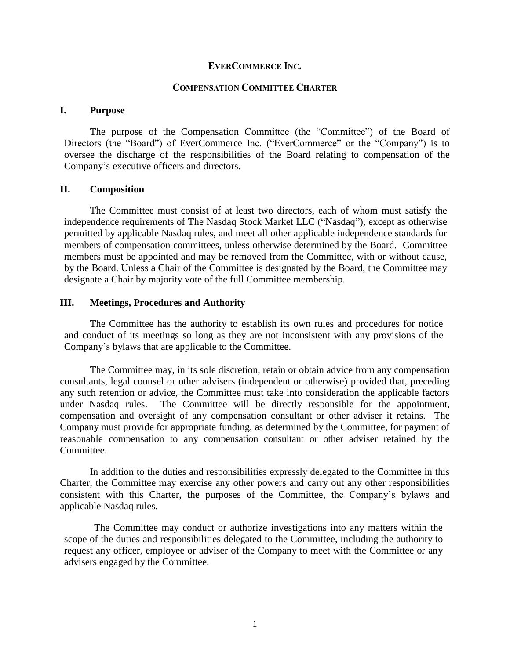#### **EVERCOMMERCE INC.**

#### **COMPENSATION COMMITTEE CHARTER**

### **I. Purpose**

The purpose of the Compensation Committee (the "Committee") of the Board of Directors (the "Board") of EverCommerce Inc. ("EverCommerce" or the "Company") is to oversee the discharge of the responsibilities of the Board relating to compensation of the Company's executive officers and directors.

### **II. Composition**

The Committee must consist of at least two directors, each of whom must satisfy the independence requirements of The Nasdaq Stock Market LLC ("Nasdaq"), except as otherwise permitted by applicable Nasdaq rules, and meet all other applicable independence standards for members of compensation committees, unless otherwise determined by the Board. Committee members must be appointed and may be removed from the Committee, with or without cause, by the Board. Unless a Chair of the Committee is designated by the Board, the Committee may designate a Chair by majority vote of the full Committee membership.

### **III. Meetings, Procedures and Authority**

The Committee has the authority to establish its own rules and procedures for notice and conduct of its meetings so long as they are not inconsistent with any provisions of the Company's bylaws that are applicable to the Committee.

The Committee may, in its sole discretion, retain or obtain advice from any compensation consultants, legal counsel or other advisers (independent or otherwise) provided that, preceding any such retention or advice, the Committee must take into consideration the applicable factors under Nasdaq rules. The Committee will be directly responsible for the appointment, compensation and oversight of any compensation consultant or other adviser it retains. The Company must provide for appropriate funding, as determined by the Committee, for payment of reasonable compensation to any compensation consultant or other adviser retained by the Committee.

In addition to the duties and responsibilities expressly delegated to the Committee in this Charter, the Committee may exercise any other powers and carry out any other responsibilities consistent with this Charter, the purposes of the Committee, the Company's bylaws and applicable Nasdaq rules.

The Committee may conduct or authorize investigations into any matters within the scope of the duties and responsibilities delegated to the Committee, including the authority to request any officer, employee or adviser of the Company to meet with the Committee or any advisers engaged by the Committee.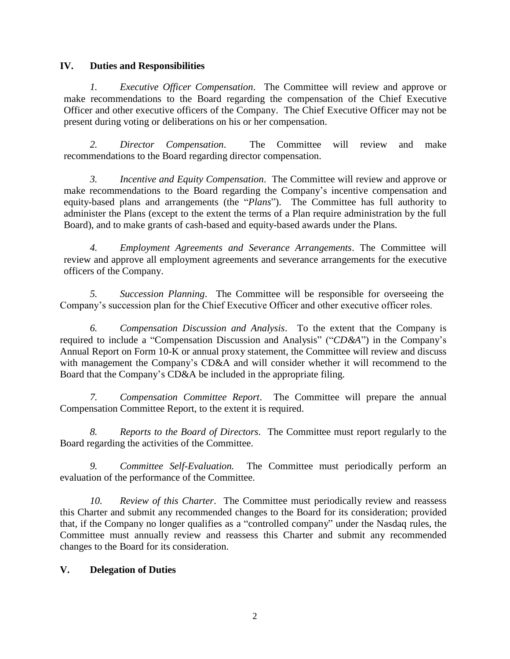## **IV. Duties and Responsibilities**

*1. Executive Officer Compensation*. The Committee will review and approve or make recommendations to the Board regarding the compensation of the Chief Executive Officer and other executive officers of the Company. The Chief Executive Officer may not be present during voting or deliberations on his or her compensation.

*2. Director Compensation*. The Committee will review and make recommendations to the Board regarding director compensation.

*3. Incentive and Equity Compensation*. The Committee will review and approve or make recommendations to the Board regarding the Company's incentive compensation and equity-based plans and arrangements (the "*Plans*"). The Committee has full authority to administer the Plans (except to the extent the terms of a Plan require administration by the full Board), and to make grants of cash-based and equity-based awards under the Plans.

*4. Employment Agreements and Severance Arrangements*. The Committee will review and approve all employment agreements and severance arrangements for the executive officers of the Company.

*5. Succession Planning*. The Committee will be responsible for overseeing the Company's succession plan for the Chief Executive Officer and other executive officer roles.

*6. Compensation Discussion and Analysis*. To the extent that the Company is required to include a "Compensation Discussion and Analysis" ("*CD&A*") in the Company's Annual Report on Form 10-K or annual proxy statement, the Committee will review and discuss with management the Company's CD&A and will consider whether it will recommend to the Board that the Company's CD&A be included in the appropriate filing.

*7. Compensation Committee Report*. The Committee will prepare the annual Compensation Committee Report, to the extent it is required.

*8. Reports to the Board of Directors.* The Committee must report regularly to the Board regarding the activities of the Committee.

*9. Committee Self-Evaluation.* The Committee must periodically perform an evaluation of the performance of the Committee.

*10. Review of this Charter*. The Committee must periodically review and reassess this Charter and submit any recommended changes to the Board for its consideration; provided that, if the Company no longer qualifies as a "controlled company" under the Nasdaq rules, the Committee must annually review and reassess this Charter and submit any recommended changes to the Board for its consideration.

# **V. Delegation of Duties**